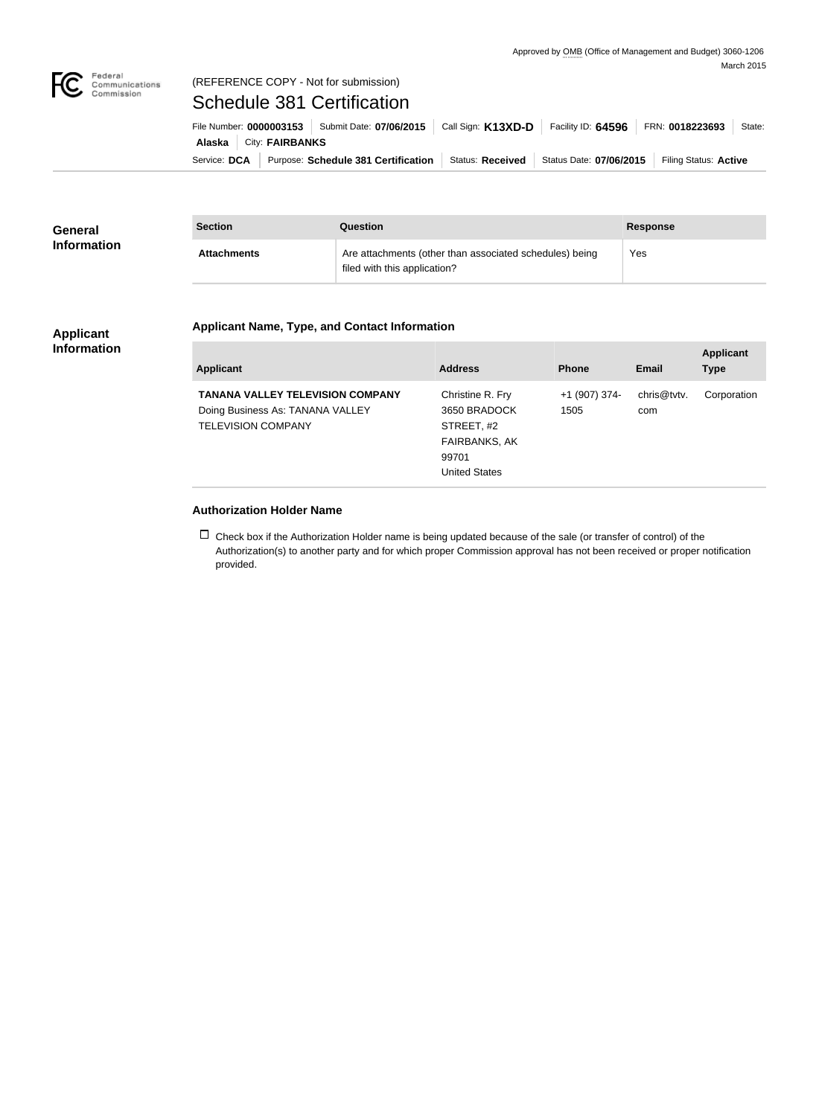

## Federal<br>Communications<br>Commission (REFERENCE COPY - Not for submission)

# Schedule 381 Certification

Service: DCA | Purpose: Schedule 381 Certification | Status: Received | Status Date: 07/06/2015 | Filing Status: Active **Alaska City: FAIRBANKS** File Number: **0000003153** Submit Date: **07/06/2015** Call Sign: **K13XD-D** Facility ID: **64596** FRN: **0018223693** State:

| <b>General</b><br><b>Information</b> | <b>Section</b>     | Question                                                                                | <b>Response</b> |
|--------------------------------------|--------------------|-----------------------------------------------------------------------------------------|-----------------|
|                                      | <b>Attachments</b> | Are attachments (other than associated schedules) being<br>filed with this application? | Yes             |

#### **Applicant Information**

# **Applicant Name, Type, and Contact Information**

| Applicant                                                                                                | <b>Address</b>                                                                                          | <b>Phone</b>          | Email              | <b>Applicant</b><br><b>Type</b> |
|----------------------------------------------------------------------------------------------------------|---------------------------------------------------------------------------------------------------------|-----------------------|--------------------|---------------------------------|
| <b>TANANA VALLEY TELEVISION COMPANY</b><br>Doing Business As: TANANA VALLEY<br><b>TELEVISION COMPANY</b> | Christine R. Fry<br>3650 BRADOCK<br>STREET, #2<br><b>FAIRBANKS, AK</b><br>99701<br><b>United States</b> | +1 (907) 374-<br>1505 | chris@tvtv.<br>com | Corporation                     |

## **Authorization Holder Name**

 $\Box$  Check box if the Authorization Holder name is being updated because of the sale (or transfer of control) of the Authorization(s) to another party and for which proper Commission approval has not been received or proper notification provided.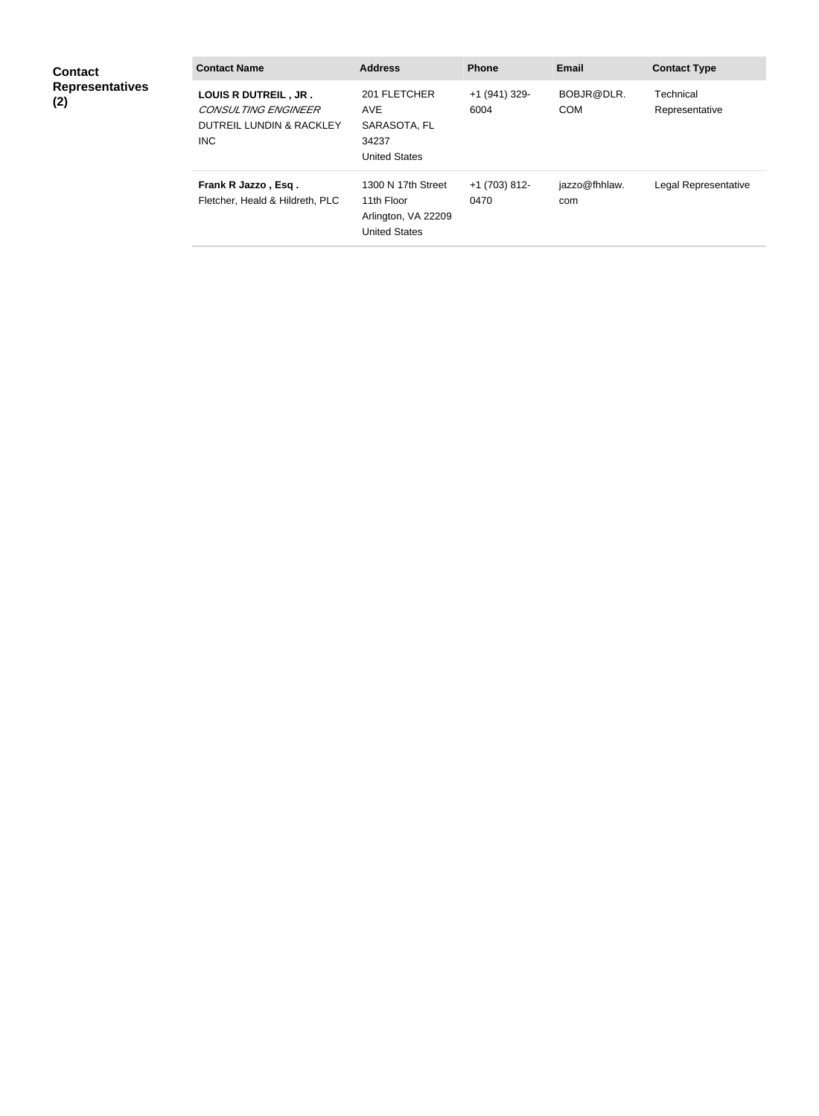| <b>Contact</b><br><b>Representatives</b><br>(2) | <b>Contact Name</b>                                                             | <b>Address</b>                                                                  | <b>Phone</b>          | <b>Email</b>             | <b>Contact Type</b>         |
|-------------------------------------------------|---------------------------------------------------------------------------------|---------------------------------------------------------------------------------|-----------------------|--------------------------|-----------------------------|
|                                                 | LOUIS R DUTREIL, JR.<br>CONSULTING ENGINEER<br>DUTREIL LUNDIN & RACKLEY<br>INC. | 201 FLETCHER<br><b>AVE</b><br>SARASOTA, FL<br>34237<br><b>United States</b>     | +1 (941) 329-<br>6004 | BOBJR@DLR.<br><b>COM</b> | Technical<br>Representative |
|                                                 | Frank R Jazzo, Esq.<br>Fletcher, Heald & Hildreth, PLC                          | 1300 N 17th Street<br>11th Floor<br>Arlington, VA 22209<br><b>United States</b> | +1 (703) 812-<br>0470 | jazzo@fhhlaw.<br>com     | Legal Representative        |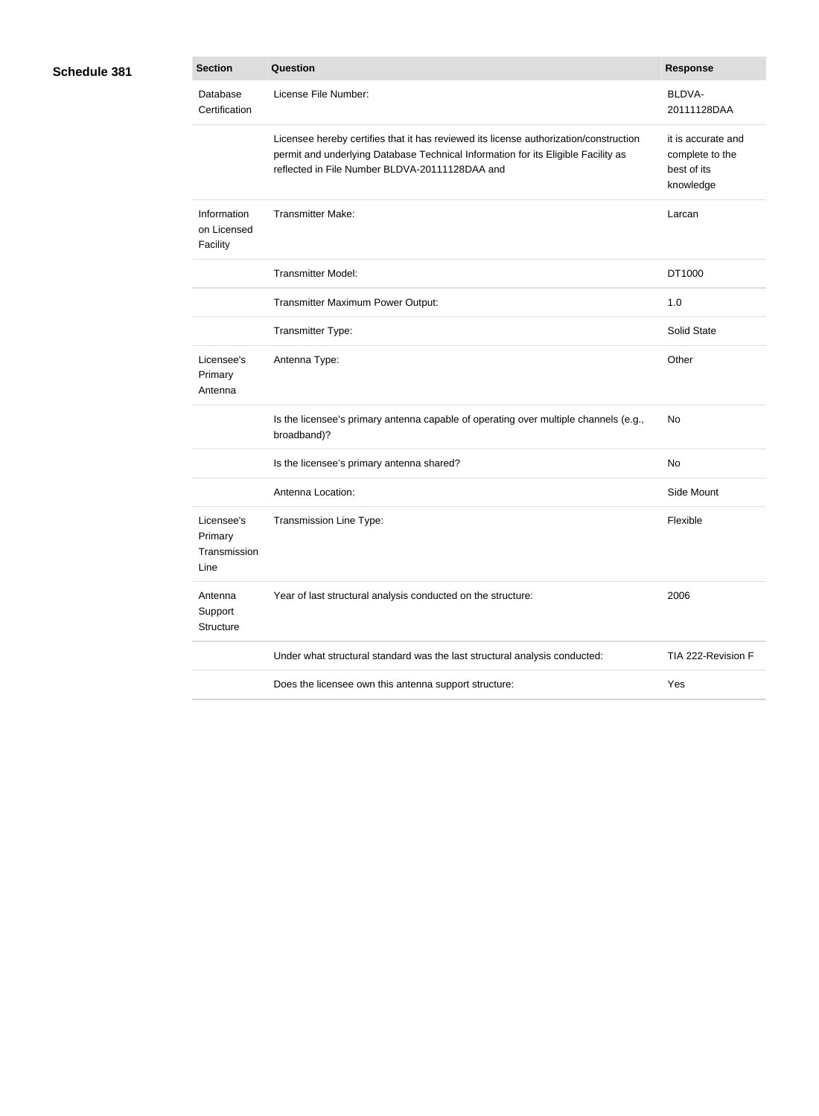| Schedule 381 |  |
|--------------|--|
|--------------|--|

| 31 | <b>Section</b>                                | Question                                                                                                                                                                                                                     | <b>Response</b>                                                   |
|----|-----------------------------------------------|------------------------------------------------------------------------------------------------------------------------------------------------------------------------------------------------------------------------------|-------------------------------------------------------------------|
|    | Database<br>Certification                     | License File Number:                                                                                                                                                                                                         | BLDVA-<br>20111128DAA                                             |
|    |                                               | Licensee hereby certifies that it has reviewed its license authorization/construction<br>permit and underlying Database Technical Information for its Eligible Facility as<br>reflected in File Number BLDVA-20111128DAA and | it is accurate and<br>complete to the<br>best of its<br>knowledge |
|    | Information<br>on Licensed<br>Facility        | <b>Transmitter Make:</b>                                                                                                                                                                                                     | Larcan                                                            |
|    |                                               | <b>Transmitter Model:</b>                                                                                                                                                                                                    | DT1000                                                            |
|    |                                               | Transmitter Maximum Power Output:                                                                                                                                                                                            | 1.0                                                               |
|    |                                               | Transmitter Type:                                                                                                                                                                                                            | Solid State                                                       |
|    | Licensee's<br>Primary<br>Antenna              | Antenna Type:                                                                                                                                                                                                                | Other                                                             |
|    |                                               | Is the licensee's primary antenna capable of operating over multiple channels (e.g.,<br>broadband)?                                                                                                                          | No                                                                |
|    |                                               | Is the licensee's primary antenna shared?                                                                                                                                                                                    | No                                                                |
|    |                                               | Antenna Location:                                                                                                                                                                                                            | Side Mount                                                        |
|    | Licensee's<br>Primary<br>Transmission<br>Line | Transmission Line Type:                                                                                                                                                                                                      | Flexible                                                          |
|    | Antenna<br>Support<br>Structure               | Year of last structural analysis conducted on the structure:                                                                                                                                                                 | 2006                                                              |
|    |                                               | Under what structural standard was the last structural analysis conducted:                                                                                                                                                   | TIA 222-Revision F                                                |
|    |                                               | Does the licensee own this antenna support structure:                                                                                                                                                                        | Yes                                                               |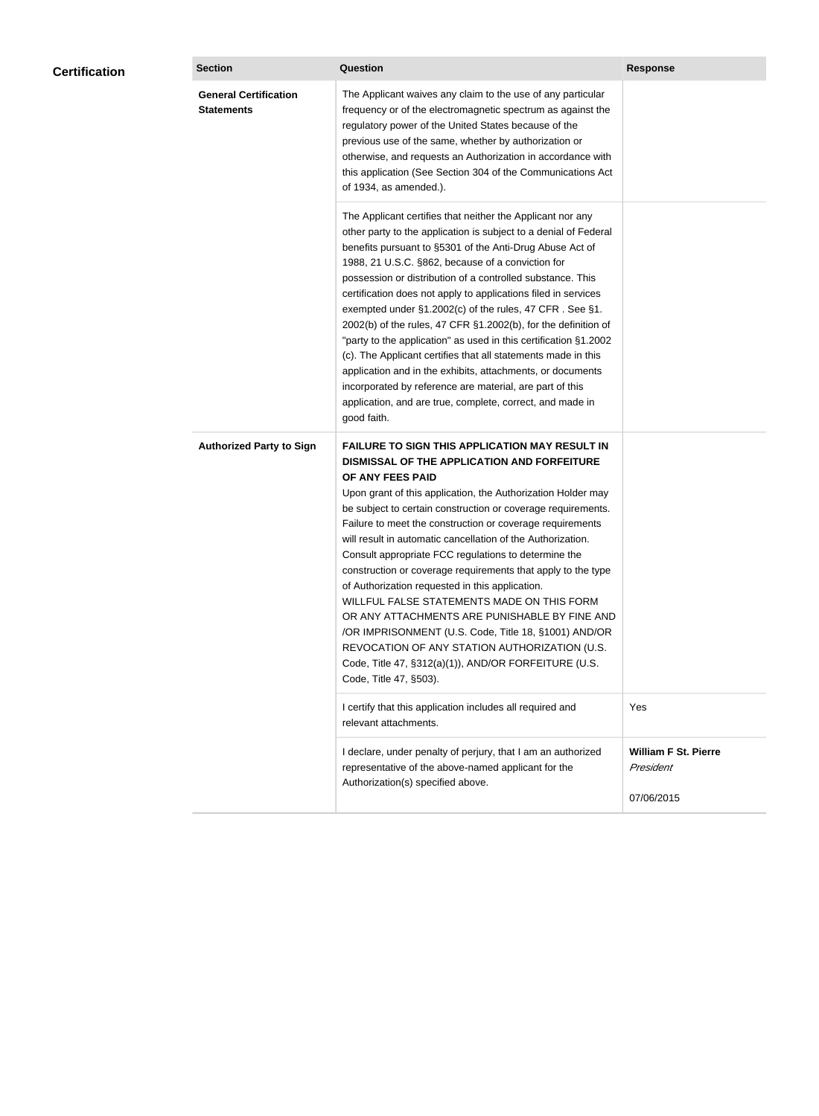|  |                                                   | Question                                                                                                                                                                                                                                                                                                                                                                                                                                                                                                                                                                                                                                                                                                                                                                                                                                                  | <b>Response</b>                                        |
|--|---------------------------------------------------|-----------------------------------------------------------------------------------------------------------------------------------------------------------------------------------------------------------------------------------------------------------------------------------------------------------------------------------------------------------------------------------------------------------------------------------------------------------------------------------------------------------------------------------------------------------------------------------------------------------------------------------------------------------------------------------------------------------------------------------------------------------------------------------------------------------------------------------------------------------|--------------------------------------------------------|
|  | <b>General Certification</b><br><b>Statements</b> | The Applicant waives any claim to the use of any particular<br>frequency or of the electromagnetic spectrum as against the<br>regulatory power of the United States because of the<br>previous use of the same, whether by authorization or<br>otherwise, and requests an Authorization in accordance with<br>this application (See Section 304 of the Communications Act<br>of 1934, as amended.).                                                                                                                                                                                                                                                                                                                                                                                                                                                       |                                                        |
|  |                                                   | The Applicant certifies that neither the Applicant nor any<br>other party to the application is subject to a denial of Federal<br>benefits pursuant to §5301 of the Anti-Drug Abuse Act of<br>1988, 21 U.S.C. §862, because of a conviction for<br>possession or distribution of a controlled substance. This<br>certification does not apply to applications filed in services<br>exempted under §1.2002(c) of the rules, 47 CFR. See §1.<br>2002(b) of the rules, 47 CFR §1.2002(b), for the definition of<br>"party to the application" as used in this certification §1.2002<br>(c). The Applicant certifies that all statements made in this<br>application and in the exhibits, attachments, or documents<br>incorporated by reference are material, are part of this<br>application, and are true, complete, correct, and made in<br>good faith.   |                                                        |
|  | <b>Authorized Party to Sign</b>                   | <b>FAILURE TO SIGN THIS APPLICATION MAY RESULT IN</b><br>DISMISSAL OF THE APPLICATION AND FORFEITURE<br>OF ANY FEES PAID<br>Upon grant of this application, the Authorization Holder may<br>be subject to certain construction or coverage requirements.<br>Failure to meet the construction or coverage requirements<br>will result in automatic cancellation of the Authorization.<br>Consult appropriate FCC regulations to determine the<br>construction or coverage requirements that apply to the type<br>of Authorization requested in this application.<br>WILLFUL FALSE STATEMENTS MADE ON THIS FORM<br>OR ANY ATTACHMENTS ARE PUNISHABLE BY FINE AND<br>/OR IMPRISONMENT (U.S. Code, Title 18, §1001) AND/OR<br>REVOCATION OF ANY STATION AUTHORIZATION (U.S.<br>Code, Title 47, §312(a)(1)), AND/OR FORFEITURE (U.S.<br>Code, Title 47, §503). |                                                        |
|  |                                                   | I certify that this application includes all required and<br>relevant attachments.                                                                                                                                                                                                                                                                                                                                                                                                                                                                                                                                                                                                                                                                                                                                                                        | Yes                                                    |
|  |                                                   | I declare, under penalty of perjury, that I am an authorized<br>representative of the above-named applicant for the<br>Authorization(s) specified above.                                                                                                                                                                                                                                                                                                                                                                                                                                                                                                                                                                                                                                                                                                  | <b>William F St. Pierre</b><br>President<br>07/06/2015 |